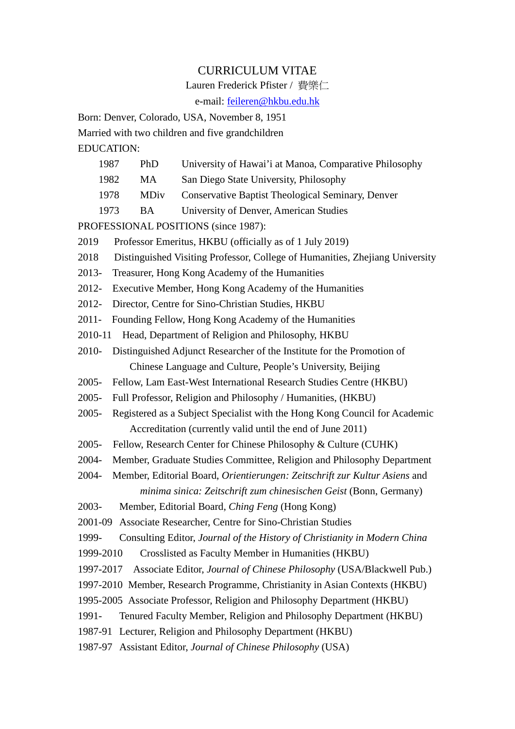# CURRICULUM VITAE

Lauren Frederick Pfister / 費樂仁

e-mail: [feileren@hkbu.edu.hk](mailto:feileren@net1.hkbu.edu.hk)

Born: Denver, Colorado, USA, November 8, 1951 Married with two children and five grandchildren

EDUCATION:

- 1987 PhD University of Hawai'i at Manoa, Comparative Philosophy
- 1982 MA San Diego State University, Philosophy
- 1978 MDiv Conservative Baptist Theological Seminary, Denver
- 1973 BA University of Denver, American Studies

PROFESSIONAL POSITIONS (since 1987):

- 2019 Professor Emeritus, HKBU (officially as of 1 July 2019)
- 2018 Distinguished Visiting Professor, College of Humanities, Zhejiang University
- 2013- Treasurer, Hong Kong Academy of the Humanities
- 2012- Executive Member, Hong Kong Academy of the Humanities
- 2012- Director, Centre for Sino-Christian Studies, HKBU
- 2011- Founding Fellow, Hong Kong Academy of the Humanities
- 2010-11 Head, Department of Religion and Philosophy, HKBU
- 2010- Distinguished Adjunct Researcher of the Institute for the Promotion of Chinese Language and Culture, People's University, Beijing
- 2005- Fellow, Lam East-West International Research Studies Centre (HKBU)
- 2005- Full Professor, Religion and Philosophy / Humanities, (HKBU)
- 2005- Registered as a Subject Specialist with the Hong Kong Council for Academic Accreditation (currently valid until the end of June 2011)
- 2005- Fellow, Research Center for Chinese Philosophy & Culture (CUHK)
- 2004- Member, Graduate Studies Committee, Religion and Philosophy Department
- 2004- Member, Editorial Board, *Orientierungen: Zeitschrift zur Kultur Asiens* and *minima sinica: Zeitschrift zum chinesischen Geist* (Bonn, Germany)
- 2003- Member, Editorial Board, *Ching Feng* (Hong Kong)
- 2001-09 Associate Researcher, Centre for Sino-Christian Studies
- 1999- Consulting Editor, *Journal of the History of Christianity in Modern China*
- 1999-2010 Crosslisted as Faculty Member in Humanities (HKBU)
- 1997-2017 Associate Editor, *Journal of Chinese Philosophy* (USA/Blackwell Pub.)
- 1997-2010 Member, Research Programme, Christianity in Asian Contexts (HKBU)
- 1995-2005 Associate Professor, Religion and Philosophy Department (HKBU)
- 1991- Tenured Faculty Member, Religion and Philosophy Department (HKBU)
- 1987-91 Lecturer, Religion and Philosophy Department (HKBU)
- 1987-97 Assistant Editor, *Journal of Chinese Philosophy* (USA)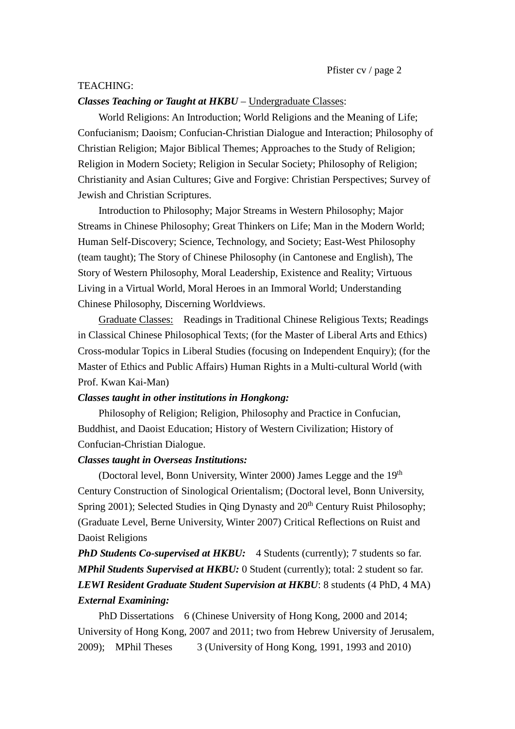### TEACHING:

### *Classes Teaching or Taught at HKBU* – Undergraduate Classes:

World Religions: An Introduction; World Religions and the Meaning of Life; Confucianism; Daoism; Confucian-Christian Dialogue and Interaction; Philosophy of Christian Religion; Major Biblical Themes; Approaches to the Study of Religion; Religion in Modern Society; Religion in Secular Society; Philosophy of Religion; Christianity and Asian Cultures; Give and Forgive: Christian Perspectives; Survey of Jewish and Christian Scriptures.

Introduction to Philosophy; Major Streams in Western Philosophy; Major Streams in Chinese Philosophy; Great Thinkers on Life; Man in the Modern World; Human Self-Discovery; Science, Technology, and Society; East-West Philosophy (team taught); The Story of Chinese Philosophy (in Cantonese and English), The Story of Western Philosophy, Moral Leadership, Existence and Reality; Virtuous Living in a Virtual World, Moral Heroes in an Immoral World; Understanding Chinese Philosophy, Discerning Worldviews.

Graduate Classes: Readings in Traditional Chinese Religious Texts; Readings in Classical Chinese Philosophical Texts; (for the Master of Liberal Arts and Ethics) Cross-modular Topics in Liberal Studies (focusing on Independent Enquiry); (for the Master of Ethics and Public Affairs) Human Rights in a Multi-cultural World (with Prof. Kwan Kai-Man)

### *Classes taught in other institutions in Hongkong:*

Philosophy of Religion; Religion, Philosophy and Practice in Confucian, Buddhist, and Daoist Education; History of Western Civilization; History of Confucian-Christian Dialogue.

### *Classes taught in Overseas Institutions:*

(Doctoral level, Bonn University, Winter 2000) James Legge and the  $19<sup>th</sup>$ Century Construction of Sinological Orientalism; (Doctoral level, Bonn University, Spring 2001); Selected Studies in Oing Dynasty and 20<sup>th</sup> Century Ruist Philosophy; (Graduate Level, Berne University, Winter 2007) Critical Reflections on Ruist and Daoist Religions

**PhD Students Co-supervised at HKBU:** 4 Students (currently); 7 students so far. *MPhil Students Supervised at HKBU:* 0 Student (currently); total: 2 student so far. *LEWI Resident Graduate Student Supervision at HKBU*: 8 students (4 PhD, 4 MA) *External Examining:*

PhD Dissertations 6 (Chinese University of Hong Kong, 2000 and 2014; University of Hong Kong, 2007 and 2011; two from Hebrew University of Jerusalem, 2009); MPhil Theses 3 (University of Hong Kong, 1991, 1993 and 2010)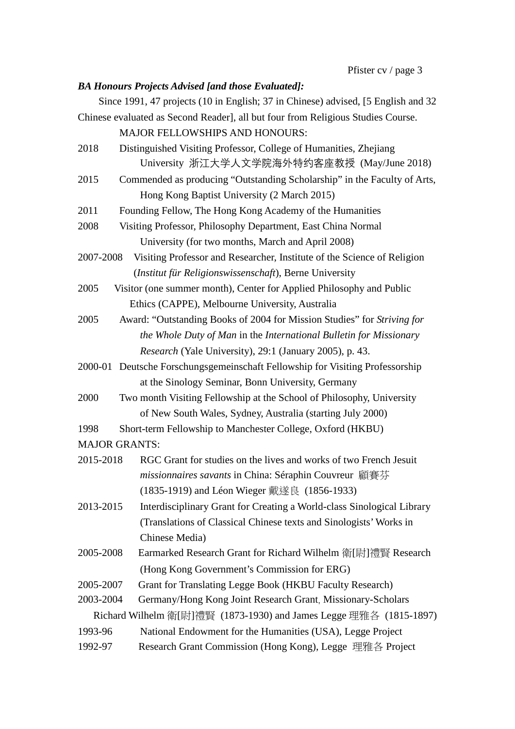# *BA Honours Projects Advised [and those Evaluated]:*

Since 1991, 47 projects (10 in English; 37 in Chinese) advised, [5 English and 32 Chinese evaluated as Second Reader], all but four from Religious Studies Course.

MAJOR FELLOWSHIPS AND HONOURS:

- 2018 Distinguished Visiting Professor, College of Humanities, Zhejiang University 浙江大学人文学院海外特约客座教授 (May/June 2018)
- 2015 Commended as producing "Outstanding Scholarship" in the Faculty of Arts, Hong Kong Baptist University (2 March 2015)

2011 Founding Fellow, The Hong Kong Academy of the Humanities

- 2008 Visiting Professor, Philosophy Department, East China Normal University (for two months, March and April 2008)
- 2007-2008 Visiting Professor and Researcher, Institute of the Science of Religion (*Institut für Religionswissenschaft*), Berne University
- 2005 Visitor (one summer month), Center for Applied Philosophy and Public Ethics (CAPPE), Melbourne University, Australia
- 2005 Award: "Outstanding Books of 2004 for Mission Studies" for *Striving for the Whole Duty of Man* in the *International Bulletin for Missionary Research* (Yale University), 29:1 (January 2005), p. 43.
- 2000-01 Deutsche Forschungsgemeinschaft Fellowship for Visiting Professorship at the Sinology Seminar, Bonn University, Germany
- 2000 Two month Visiting Fellowship at the School of Philosophy, University of New South Wales, Sydney, Australia (starting July 2000)

- MAJOR GRANTS:
- 2015-2018 RGC Grant for studies on the lives and works of two French Jesuit *missionnaires savants* in China: Séraphin Couvreur 顧賽芬 (1835-1919) and Léon Wieger 戴遂良 (1856-1933)
- 2013-2015 Interdisciplinary Grant for Creating a World-class Sinological Library (Translations of Classical Chinese texts and Sinologists'Works in Chinese Media)
- 2005-2008 Earmarked Research Grant for Richard Wilhelm 衛[尉]禮賢 Research (Hong Kong Government's Commission for ERG)
- 2005-2007 Grant for Translating Legge Book (HKBU Faculty Research)

2003-2004 Germany/Hong Kong Joint Research Grant, Missionary-Scholars

Richard Wilhelm 衛[尉]禮賢 (1873-1930) and James Legge 理雅各 (1815-1897)

- 1993-96 National Endowment for the Humanities (USA), Legge Project
- 1992-97 Research Grant Commission (Hong Kong), Legge 理雅各 Project

<sup>1998</sup> Short-term Fellowship to Manchester College, Oxford (HKBU)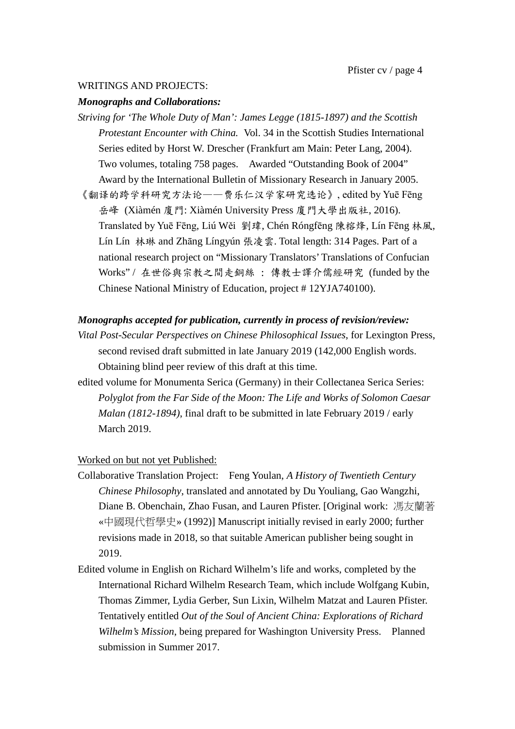# WRITINGS AND PROJECTS:

### *Monographs and Collaborations:*

*Striving for 'The Whole Duty of Man': James Legge (1815-1897) and the Scottish Protestant Encounter with China.* Vol. 34 in the Scottish Studies International Series edited by Horst W. Drescher (Frankfurt am Main: Peter Lang, 2004). Two volumes, totaling 758 pages. Awarded "Outstanding Book of 2004" Award by the International Bulletin of Missionary Research in January 2005. 《翻译的跨学科研究方法论——费乐仁汉学家研究选论》, edited by Yuē Fēng 岳峰 (Xiàmén 廈門: Xiàmén University Press 廈門大學出版社, 2016). Translated by Yuē Fēng, Liú Wěi 劉瑋, Chén Róngfēng 陳榕烽, Lín Fēng 林風, Lín Lín 林琳 and Zhāng Língyún 張凌雲. Total length: 314 Pages. Part of a national research project on "Missionary Translators' Translations of Confucian Works" / 在世俗與宗教之間走銅絲 : 傳教士譯介儒經研究 (funded by the Chinese National Ministry of Education, project # 12YJA740100).

### *Monographs accepted for publication, currently in process of revision/review:*

- *Vital Post-Secular Perspectives on Chinese Philosophical Issues*, for Lexington Press, second revised draft submitted in late January 2019 (142,000 English words. Obtaining blind peer review of this draft at this time.
- edited volume for Monumenta Serica (Germany) in their Collectanea Serica Series: *Polyglot from the Far Side of the Moon: The Life and Works of Solomon Caesar Malan (1812-1894)*, final draft to be submitted in late February 2019 / early March 2019.

## Worked on but not yet Published:

- Collaborative Translation Project: Feng Youlan, *A History of Twentieth Century Chinese Philosophy*, translated and annotated by Du Youliang, Gao Wangzhi, Diane B. Obenchain, Zhao Fusan, and Lauren Pfister. [Original work: 馮友蘭著 «中國現代哲學史» (1992)] Manuscript initially revised in early 2000; further revisions made in 2018, so that suitable American publisher being sought in 2019.
- Edited volume in English on Richard Wilhelm's life and works, completed by the International Richard Wilhelm Research Team, which include Wolfgang Kubin, Thomas Zimmer, Lydia Gerber, Sun Lixin, Wilhelm Matzat and Lauren Pfister. Tentatively entitled *Out of the Soul of Ancient China: Explorations of Richard Wilhelm's Mission*, being prepared for Washington University Press. Planned submission in Summer 2017.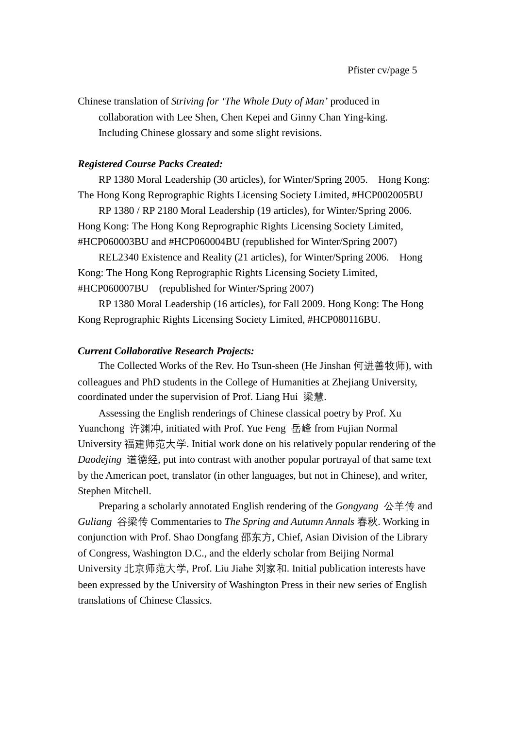Chinese translation of *Striving for 'The Whole Duty of Man'* produced in collaboration with Lee Shen, Chen Kepei and Ginny Chan Ying-king. Including Chinese glossary and some slight revisions.

# *Registered Course Packs Created:*

RP 1380 Moral Leadership (30 articles), for Winter/Spring 2005. Hong Kong: The Hong Kong Reprographic Rights Licensing Society Limited, #HCP002005BU

RP 1380 / RP 2180 Moral Leadership (19 articles), for Winter/Spring 2006. Hong Kong: The Hong Kong Reprographic Rights Licensing Society Limited, #HCP060003BU and #HCP060004BU (republished for Winter/Spring 2007)

REL2340 Existence and Reality (21 articles), for Winter/Spring 2006. Hong Kong: The Hong Kong Reprographic Rights Licensing Society Limited, #HCP060007BU (republished for Winter/Spring 2007)

RP 1380 Moral Leadership (16 articles), for Fall 2009. Hong Kong: The Hong Kong Reprographic Rights Licensing Society Limited, #HCP080116BU.

# *Current Collaborative Research Projects:*

The Collected Works of the Rev. Ho Tsun-sheen (He Jinshan 何进善牧师), with colleagues and PhD students in the College of Humanities at Zhejiang University, coordinated under the supervision of Prof. Liang Hui 梁慧.

Assessing the English renderings of Chinese classical poetry by Prof. Xu Yuanchong 许渊冲, initiated with Prof. Yue Feng 岳峰 from Fujian Normal University 福建师范大学. Initial work done on his relatively popular rendering of the *Daodejing* 道德经, put into contrast with another popular portrayal of that same text by the American poet, translator (in other languages, but not in Chinese), and writer, Stephen Mitchell.

Preparing a scholarly annotated English rendering of the *Gongyang* 公羊传 and *Guliang* 谷梁传 Commentaries to *The Spring and Autumn Annals* 春秋. Working in conjunction with Prof. Shao Dongfang 邵东方, Chief, Asian Division of the Library of Congress, Washington D.C., and the elderly scholar from Beijing Normal University 北京师范大学, Prof. Liu Jiahe 刘家和. Initial publication interests have been expressed by the University of Washington Press in their new series of English translations of Chinese Classics.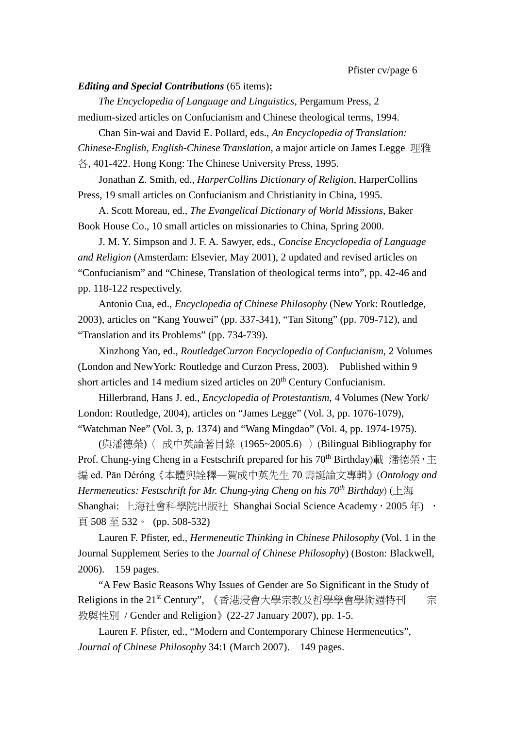### *Editing and Special Contributions* (65 items)**:**

*The Encyclopedia of Language and Linguistics*, Pergamum Press, 2 medium-sized articles on Confucianism and Chinese theological terms, 1994.

Chan Sin-wai and David E. Pollard, eds., *An Encyclopedia of Translation: Chinese-English, English-Chinese Translation*, a major article on James Legge 理雅 各, 401-422. Hong Kong: The Chinese University Press, 1995.

Jonathan Z. Smith, ed., *HarperCollins Dictionary of Religion*, HarperCollins Press, 19 small articles on Confucianism and Christianity in China, 1995.

A. Scott Moreau, ed., *The Evangelical Dictionary of World Missions*, Baker Book House Co., 10 small articles on missionaries to China, Spring 2000.

J. M. Y. Simpson and J. F. A. Sawyer, eds., *Concise Encyclopedia of Language and Religion* (Amsterdam: Elsevier, May 2001), 2 updated and revised articles on "Confucianism" and "Chinese, Translation of theological terms into", pp. 42-46 and pp. 118-122 respectively.

Antonio Cua, ed., *Encyclopedia of Chinese Philosophy* (New York: Routledge, 2003), articles on "Kang Youwei" (pp. 337-341), "Tan Sitong" (pp. 709-712), and "Translation and its Problems" (pp. 734-739).

Xinzhong Yao, ed., *RoutledgeCurzon Encyclopedia of Confucianism*, 2 Volumes (London and NewYork: Routledge and Curzon Press, 2003). Published within 9 short articles and 14 medium sized articles on 20<sup>th</sup> Century Confucianism.

Hillerbrand, Hans J. ed., *Encyclopedia of Protestantism*, 4 Volumes (New York/ London: Routledge, 2004), articles on "James Legge" (Vol. 3, pp. 1076-1079), "Watchman Nee" (Vol. 3, p. 1374) and "Wang Mingdao" (Vol. 4, pp. 1974-1975).

(與潘德榮)〈 成中英論著目錄 (1965~2005.6) 〉(Bilingual Bibliography for Prof. Chung-ying Cheng in a Festschrift prepared for his 70<sup>th</sup> Birthday)載 潘德榮, 主 編 ed. Pān Déróng《本體與詮釋—賀成中英先生 70 壽誕論文專輯》(*Ontology and Hermeneutics: Festschrift for Mr. Chung-ying Cheng on his 70th Birthday*) (上海 Shanghai: 上海社會科學院出版社 Shanghai Social Science Academy,2005 年) , 頁 508 至 532。 (pp. 508-532)

Lauren F. Pfister, ed., *Hermeneutic Thinking in Chinese Philosophy* (Vol. 1 in the Journal Supplement Series to the *Journal of Chinese Philosophy*) (Boston: Blackwell, 2006). 159 pages.

"A Few Basic Reasons Why Issues of Gender are So Significant in the Study of Religions in the 21<sup>st</sup> Century", 《香港浸會大學宗教及哲學學會學術週特刊 - 宗 教與性別 / Gender and Religion》(22-27 January 2007), pp. 1-5.

Lauren F. Pfister, ed., "Modern and Contemporary Chinese Hermeneutics", *Journal of Chinese Philosophy* 34:1 (March 2007). 149 pages.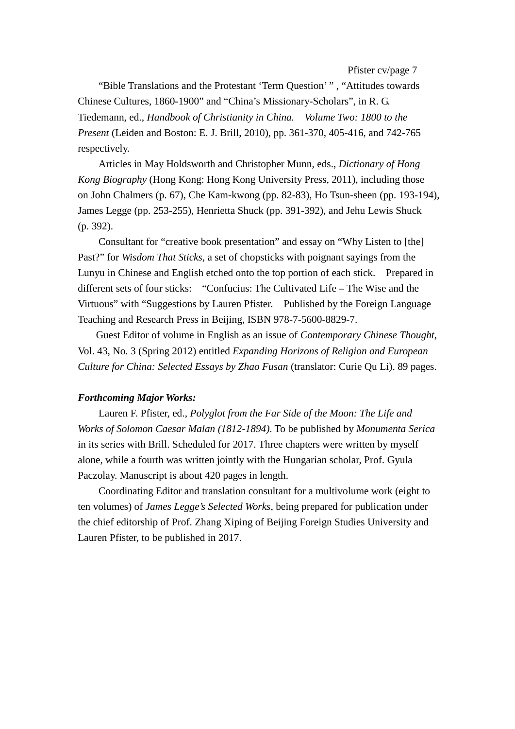Pfister cv/page 7

"Bible Translations and the Protestant 'Term Question' " , "Attitudes towards Chinese Cultures, 1860-1900" and "China's Missionary-Scholars", in R. G. Tiedemann, ed., *Handbook of Christianity in China. Volume Two: 1800 to the Present* (Leiden and Boston: E. J. Brill, 2010), pp. 361-370, 405-416, and 742-765 respectively.

Articles in May Holdsworth and Christopher Munn, eds., *Dictionary of Hong Kong Biography* (Hong Kong: Hong Kong University Press, 2011), including those on John Chalmers (p. 67), Che Kam-kwong (pp. 82-83), Ho Tsun-sheen (pp. 193-194), James Legge (pp. 253-255), Henrietta Shuck (pp. 391-392), and Jehu Lewis Shuck (p. 392).

Consultant for "creative book presentation" and essay on "Why Listen to [the] Past?" for *Wisdom That Sticks*, a set of chopsticks with poignant sayings from the Lunyu in Chinese and English etched onto the top portion of each stick. Prepared in different sets of four sticks: "Confucius: The Cultivated Life – The Wise and the Virtuous" with "Suggestions by Lauren Pfister. Published by the Foreign Language Teaching and Research Press in Beijing, ISBN 978-7-5600-8829-7.

Guest Editor of volume in English as an issue of *Contemporary Chinese Thought*, Vol. 43, No. 3 (Spring 2012) entitled *Expanding Horizons of Religion and European Culture for China: Selected Essays by Zhao Fusan* (translator: Curie Qu Li). 89 pages.

### *Forthcoming Major Works:*

Lauren F. Pfister, ed., *Polyglot from the Far Side of the Moon: The Life and Works of Solomon Caesar Malan (1812-1894)*. To be published by *Monumenta Serica* in its series with Brill. Scheduled for 2017. Three chapters were written by myself alone, while a fourth was written jointly with the Hungarian scholar, Prof. Gyula Paczolay. Manuscript is about 420 pages in length.

Coordinating Editor and translation consultant for a multivolume work (eight to ten volumes) of *James Legge's Selected Works*, being prepared for publication under the chief editorship of Prof. Zhang Xiping of Beijing Foreign Studies University and Lauren Pfister, to be published in 2017.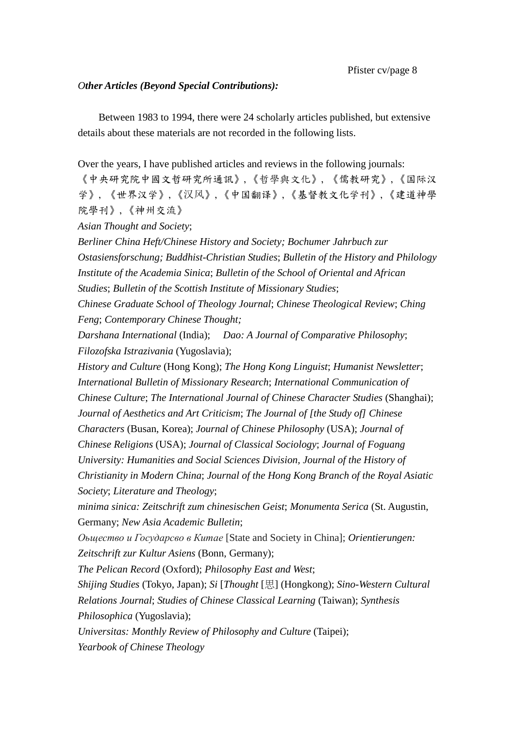# *Other Articles (Beyond Special Contributions):*

Between 1983 to 1994, there were 24 scholarly articles published, but extensive details about these materials are not recorded in the following lists.

Over the years, I have published articles and reviews in the following journals:

《中央研究院中國文哲研究所通訊》,《哲學與文化》, 《儒教研究》,《国际汉 学》, 《世界汉学》,《汉风》,《中国翻译》,《基督教文化学刊》,《建道神學 院學刊》,《神州交流》

*Asian Thought and Society*;

*Berliner China Heft/Chinese History and Society; Bochumer Jahrbuch zur Ostasiensforschung; Buddhist-Christian Studies*; *Bulletin of the History and Philology Institute of the Academia Sinica*; *Bulletin of the School of Oriental and African Studies*; *Bulletin of the Scottish Institute of Missionary Studies*;

*Chinese Graduate School of Theology Journal*; *Chinese Theological Review*; *Ching Feng*; *Contemporary Chinese Thought;*

*Darshana International* (India); *Dao: A Journal of Comparative Philosophy*; *Filozofska Istrazivania* (Yugoslavia);

*History and Culture* (Hong Kong); *The Hong Kong Linguist*; *Humanist Newsletter*; *International Bulletin of Missionary Research*; *International Communication of Chinese Culture*; *The International Journal of Chinese Character Studies* (Shanghai); *Journal of Aesthetics and Art Criticism*; *The Journal of [the Study of] Chinese Characters* (Busan, Korea); *Journal of Chinese Philosophy* (USA); *Journal of Chinese Religions* (USA); *Journal of Classical Sociology*; *Journal of Foguang University: Humanities and Social Sciences Division, Journal of the History of Christianity in Modern China*; *Journal of the Hong Kong Branch of the Royal Asiatic Society*; *Literature and Theology*;

*minima sinica: Zeitschrift zum chinesischen Geist*; *Monumenta Serica* (St. Augustin, Germany; *New Asia Academic Bulletin*;

*Оьщество и Государсво в Китае* [State and Society in China]; *Orientierungen: Zeitschrift zur Kultur Asiens* (Bonn, Germany);

*The Pelican Record* (Oxford); *Philosophy East and West*;

*Shijing Studies* (Tokyo, Japan); *Si* [*Thought* [思] (Hongkong); *Sino-Western Cultural Relations Journal*; *Studies of Chinese Classical Learning* (Taiwan); *Synthesis Philosophica* (Yugoslavia);

*Universitas: Monthly Review of Philosophy and Culture* (Taipei); *Yearbook of Chinese Theology*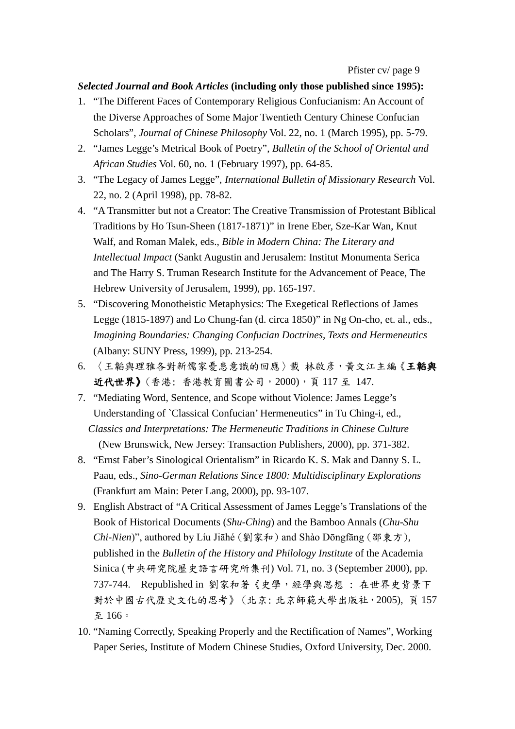# *Selected Journal and Book Articles* **(including only those published since 1995):**

- 1. "The Different Faces of Contemporary Religious Confucianism: An Account of the Diverse Approaches of Some Major Twentieth Century Chinese Confucian Scholars", *Journal of Chinese Philosophy* Vol. 22, no. 1 (March 1995), pp. 5-79.
- 2. "James Legge's Metrical Book of Poetry", *Bulletin of the School of Oriental and African Studies* Vol. 60, no. 1 (February 1997), pp. 64-85.
- 3. "The Legacy of James Legge", *International Bulletin of Missionary Research* Vol. 22, no. 2 (April 1998), pp. 78-82.
- 4. "A Transmitter but not a Creator: The Creative Transmission of Protestant Biblical Traditions by Ho Tsun-Sheen (1817-1871)" in Irene Eber, Sze-Kar Wan, Knut Walf, and Roman Malek, eds., *Bible in Modern China: The Literary and Intellectual Impact* (Sankt Augustin and Jerusalem: Institut Monumenta Serica and The Harry S. Truman Research Institute for the Advancement of Peace, The Hebrew University of Jerusalem, 1999), pp. 165-197.
- 5. "Discovering Monotheistic Metaphysics: The Exegetical Reflections of James Legge (1815-1897) and Lo Chung-fan (d. circa 1850)" in Ng On-cho, et. al., eds., *Imagining Boundaries: Changing Confucian Doctrines, Texts and Hermeneutics* (Albany: SUNY Press, 1999), pp. 213-254.
- 6. 〈王韜與理雅各對新儒家憂患意識的回應〉載 林啟彥,黃文江主編《王韜與 近代世界》(香港: 香港教育圖書公司, 2000), 頁 117 至 147.
- 7. "Mediating Word, Sentence, and Scope without Violence: James Legge's Understanding of `Classical Confucian' Hermeneutics" in Tu Ching-i, ed., *Classics and Interpretations: The Hermeneutic Traditions in Chinese Culture* (New Brunswick, New Jersey: Transaction Publishers, 2000), pp. 371-382.
- 8. "Ernst Faber's Sinological Orientalism" in Ricardo K. S. Mak and Danny S. L. Paau, eds., *Sino-German Relations Since 1800: Multidisciplinary Explorations* (Frankfurt am Main: Peter Lang, 2000), pp. 93-107.
- 9. English Abstract of "A Critical Assessment of James Legge's Translations of the Book of Historical Documents (*Shu-Ching*) and the Bamboo Annals (*Chu-Shu Chi-Nien*)", authored by Líu Jiāhé (劉家和) and Shào Dōngfāng (邵東方), published in the *Bulletin of the History and Philology Institute* of the Academia Sinica (中央研究院歷史語言研究所集刊) Vol. 71, no. 3 (September 2000), pp. 737-744. Republished in 劉家和著《史學,經學與思想 : 在世界史背景下 對於中國古代歷史文化的思考》 (北京: 北京師範大學出版社,2005), 頁 157 至 166。
- 10. "Naming Correctly, Speaking Properly and the Rectification of Names", Working Paper Series, Institute of Modern Chinese Studies, Oxford University, Dec. 2000.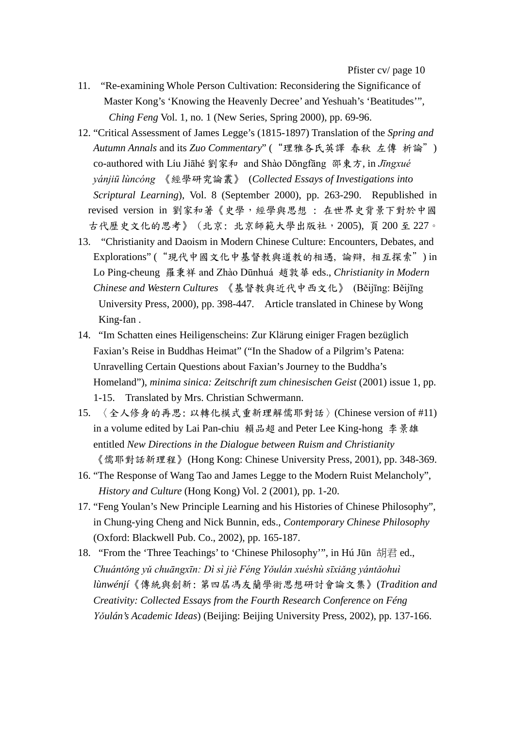- 11. "Re-examining Whole Person Cultivation: Reconsidering the Significance of Master Kong's 'Knowing the Heavenly Decree' and Yeshuah's 'Beatitudes'", *Ching Feng* Vol. 1, no. 1 (New Series, Spring 2000), pp. 69-96.
- 12. "Critical Assessment of James Legge's (1815-1897) Translation of the *Spring and Autumn Annals* and its *Zuo Commentary*" ("理雅各氏英譯 春秋 左傳 析論") co-authored with Líu Jiāhé 劉家和 and Shào Dōngfāng 邵東方, in *Jīngxué yánjiū lùncóng* 《經學研究論叢》 (*Collected Essays of Investigations into Scriptural Learning*), Vol. 8 (September 2000), pp. 263-290. Republished in revised version in 劉家和著《史學,經學與思想 : 在世界史背景下對於中國 古代歷史文化的思考》 (北京: 北京師範大學出版社,2005), 頁 200 至 227。
- 13. "Christianity and Daoism in Modern Chinese Culture: Encounters, Debates, and Explorations" ("現代中國文化中基督教與道教的相遇, 論辯, 相互探索") in Lo Ping-cheung 羅秉祥 and Zhào Dūnhuá 趙敦華 eds., *Christianity in Modern Chinese and Western Cultures* 《基督教與近代中西文化》 (Běijīng: Běijīng University Press, 2000), pp. 398-447. Article translated in Chinese by Wong King-fan .
- 14. "Im Schatten eines Heiligenscheins: Zur Klärung einiger Fragen bezüglich Faxian's Reise in Buddhas Heimat" ("In the Shadow of a Pilgrim's Patena: Unravelling Certain Questions about Faxian's Journey to the Buddha's Homeland"), *minima sinica: Zeitschrift zum chinesischen Geist* (2001) issue 1, pp. 1-15. Translated by Mrs. Christian Schwermann.
- 15. 〈全人修身的再思: 以轉化模式重新理解儒耶對話〉(Chinese version of #11) in a volume edited by Lai Pan-chiu 賴品超 and Peter Lee King-hong 李景雄 entitled *New Directions in the Dialogue between Ruism and Christianity* 《儒耶對話新理程》(Hong Kong: Chinese University Press, 2001), pp. 348-369.
- 16. "The Response of Wang Tao and James Legge to the Modern Ruist Melancholy", *History and Culture* (Hong Kong) Vol. 2 (2001), pp. 1-20.
- 17. "Feng Youlan's New Principle Learning and his Histories of Chinese Philosophy", in Chung-ying Cheng and Nick Bunnin, eds., *Contemporary Chinese Philosophy* (Oxford: Blackwell Pub. Co., 2002), pp. 165-187.
- 18. "From the 'Three Teachings' to 'Chinese Philosophy'", in Hú Jūn 胡君 ed., *Chuántǒng yǔ chuāngxīn: Dì sì jiè Féng Yǒulán xuéshù sīxiǎng yántǎohuì lùnwénjí*《傳統與創新: 第四屆馮友蘭學術思想研討會論文集》(*Tradition and Creativity: Collected Essays from the Fourth Research Conference on Féng Yǒulán's Academic Ideas*) (Beijing: Beijing University Press, 2002), pp. 137-166.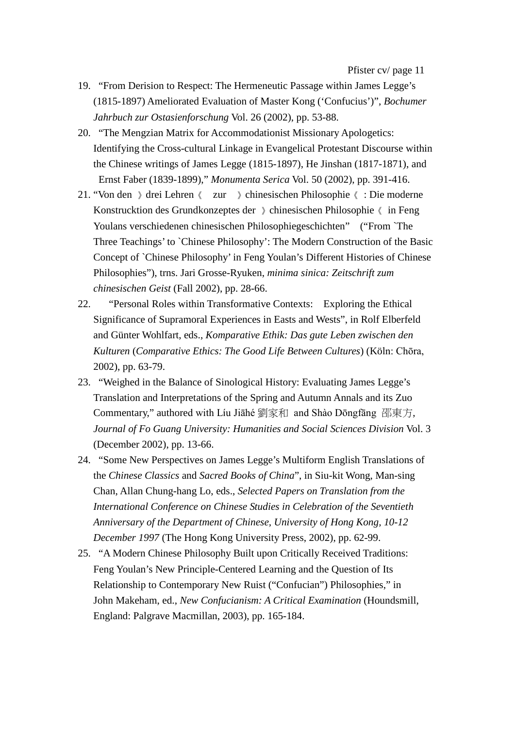- 19. "From Derision to Respect: The Hermeneutic Passage within James Legge's (1815-1897) Ameliorated Evaluation of Master Kong ('Confucius')", *Bochumer Jahrbuch zur Ostasienforschung* Vol. 26 (2002), pp. 53-88.
- 20. "The Mengzian Matrix for Accommodationist Missionary Apologetics: Identifying the Cross-cultural Linkage in Evangelical Protestant Discourse within the Chinese writings of James Legge (1815-1897), He Jinshan (1817-1871), and Ernst Faber (1839-1899)," *Monumenta Serica* Vol. 50 (2002), pp. 391-416.
- 21. "Von den 》drei Lehren《 zur 》chinesischen Philosophie《 : Die moderne Konstrucktion des Grundkonzeptes der 》chinesischen Philosophie《 in Feng Youlans verschiedenen chinesischen Philosophiegeschichten" ("From `The Three Teachings' to `Chinese Philosophy': The Modern Construction of the Basic Concept of `Chinese Philosophy' in Feng Youlan's Different Histories of Chinese Philosophies"), trns. Jari Grosse-Ryuken, *minima sinica: Zeitschrift zum chinesischen Geist* (Fall 2002), pp. 28-66.
- 22. "Personal Roles within Transformative Contexts: Exploring the Ethical Significance of Supramoral Experiences in Easts and Wests", in Rolf Elberfeld and Günter Wohlfart, eds., *Komparative Ethik: Das gute Leben zwischen den Kulturen* (*Comparative Ethics: The Good Life Between Cultures*) (Köln: Chōra, 2002), pp. 63-79.
- 23. "Weighed in the Balance of Sinological History: Evaluating James Legge's Translation and Interpretations of the Spring and Autumn Annals and its Zuo Commentary," authored with Líu Jiāhé 劉家和 and Shào Dōngfāng 邵東方, *Journal of Fo Guang University: Humanities and Social Sciences Division* Vol. 3 (December 2002), pp. 13-66.
- 24. "Some New Perspectives on James Legge's Multiform English Translations of the *Chinese Classics* and *Sacred Books of China*", in Siu-kit Wong, Man-sing Chan, Allan Chung-hang Lo, eds., *Selected Papers on Translation from the International Conference on Chinese Studies in Celebration of the Seventieth Anniversary of the Department of Chinese, University of Hong Kong, 10-12 December 1997* (The Hong Kong University Press, 2002), pp. 62-99.
- 25. "A Modern Chinese Philosophy Built upon Critically Received Traditions: Feng Youlan's New Principle-Centered Learning and the Question of Its Relationship to Contemporary New Ruist ("Confucian") Philosophies," in John Makeham, ed., *New Confucianism: A Critical Examination* (Houndsmill, England: Palgrave Macmillan, 2003), pp. 165-184.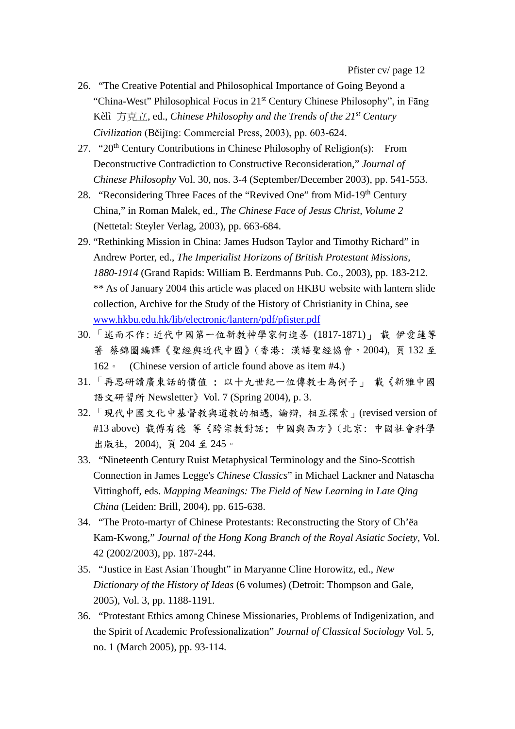- 26. "The Creative Potential and Philosophical Importance of Going Beyond a "China-West" Philosophical Focus in 21st Century Chinese Philosophy", in Fāng Kèlì 方克立, ed., *Chinese Philosophy and the Trends of the 21st Century Civilization* (Běijīng: Commercial Press, 2003), pp. 603-624.
- 27. "20<sup>th</sup> Century Contributions in Chinese Philosophy of Religion(s): From Deconstructive Contradiction to Constructive Reconsideration," *Journal of Chinese Philosophy* Vol. 30, nos. 3-4 (September/December 2003), pp. 541-553.
- 28. "Reconsidering Three Faces of the "Revived One" from Mid-19<sup>th</sup> Century China," in Roman Malek, ed., *The Chinese Face of Jesus Christ, Volume 2* (Nettetal: Steyler Verlag, 2003), pp. 663-684.
- 29. "Rethinking Mission in China: James Hudson Taylor and Timothy Richard" in Andrew Porter, ed., *The Imperialist Horizons of British Protestant Missions, 1880-1914* (Grand Rapids: William B. Eerdmanns Pub. Co., 2003), pp. 183-212. \*\* As of January 2004 this article was placed on HKBU website with lantern slide collection, Archive for the Study of the History of Christianity in China, see [www.hkbu.edu.hk/lib/electronic/lantern/pdf/pfister.pdf](http://www.hkbu.edu.hk/lib/electronic%C3%A1lantern%C3%A1pdf%C3%A1pfister.pdf)
- 30. 「述而不作: 近代中國第一位新教神學家何進善 (1817-1871)」 載 伊愛蓮等 著 蔡錦圖編譯《聖經與近代中國》(香港: 漢語聖經協會, 2004), 頁132至 162。 (Chinese version of article found above as item #4.)
- 31. 「再思研讀廣東話的價值 : 以十九世紀一位傳教士為例子」 載《新雅中國 語文研習所 Newsletter》Vol. 7 (Spring 2004), p. 3.
- 32. 「現代中國文化中基督教與道教的相遇, 論辯, 相互探索」(revised version of #13 above) 載傅有德 等《跨宗教對話: 中國與西方》(北京: 中國社會科學 出版社, 2004), 頁 204 至 245。
- 33. "Nineteenth Century Ruist Metaphysical Terminology and the Sino-Scottish Connection in James Legge's *Chinese Classics*" in Michael Lackner and Natascha Vittinghoff, eds. *Mapping Meanings: The Field of New Learning in Late Qing China* (Leiden: Brill, 2004), pp. 615-638.
- 34. "The Proto-martyr of Chinese Protestants: Reconstructing the Story of Ch'ëa Kam-Kwong," *Journal of the Hong Kong Branch of the Royal Asiatic Society*, Vol. 42 (2002/2003), pp. 187-244.
- 35. "Justice in East Asian Thought" in Maryanne Cline Horowitz, ed., *New Dictionary of the History of Ideas* (6 volumes) (Detroit: Thompson and Gale, 2005), Vol. 3, pp. 1188-1191.
- 36. "Protestant Ethics among Chinese Missionaries, Problems of Indigenization, and the Spirit of Academic Professionalization" *Journal of Classical Sociology* Vol. 5, no. 1 (March 2005), pp. 93-114.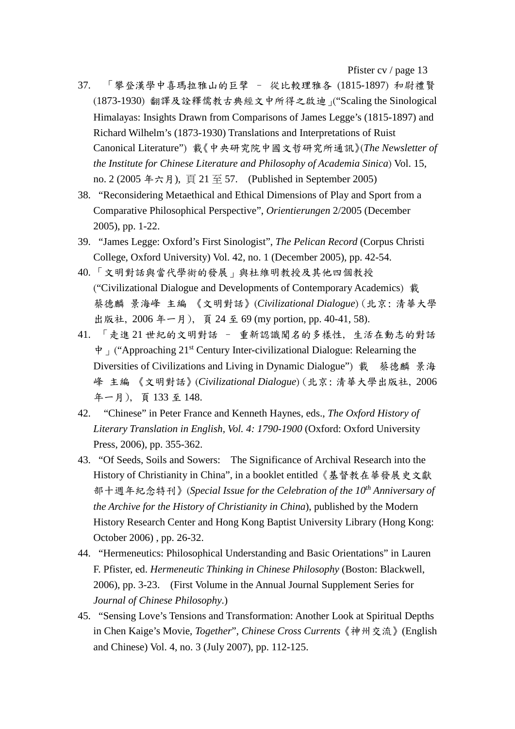Pfister cv / page 13

- 37. 「攀登漢學中喜瑪拉雅山的巨擘 從比較理雅各 (1815-1897) 和尉禮賢 (1873-1930) 翻譯及詮釋儒教古典經文中所得之啟迪」("Scaling the Sinological Himalayas: Insights Drawn from Comparisons of James Legge's (1815-1897) and Richard Wilhelm's (1873-1930) Translations and Interpretations of Ruist Canonical Literature") 載《中央研究院中國文哲研究所通訊》(*The Newsletter of the Institute for Chinese Literature and Philosophy of Academia Sinica*) Vol. 15, no. 2 (2005 年六月), 頁 21 至 57. (Published in September 2005)
- 38. "Reconsidering Metaethical and Ethical Dimensions of Play and Sport from a Comparative Philosophical Perspective", *Orientierungen* 2/2005 (December 2005), pp. 1-22.
- 39. "James Legge: Oxford's First Sinologist", *The Pelican Record* (Corpus Christi College, Oxford University) Vol. 42, no. 1 (December 2005), pp. 42-54.
- 40. 「文明對話與當代學術的發展」與杜維明教授及其他四個教授 ("Civilizational Dialogue and Developments of Contemporary Academics) 載 蔡德麟 景海峰 主編 《文明對話》(*Civilizational Dialogue*) (北京: 清華大學 出版社, 2006 年一月), 頁 24 至 69 (my portion, pp. 40-41, 58).
- 41. 「走進 21 世紀的文明對話 重新認識聞名的多樣性, 生活在動志的對話  $\dot{\phi}$  ("Approaching 21<sup>st</sup> Century Inter-civilizational Dialogue: Relearning the Diversities of Civilizations and Living in Dynamic Dialogue") 載 蔡德麟 景海 峰 主編 《文明對話》(*Civilizational Dialogue*) (北京: 清華大學出版社, 2006 年一月), 頁 133 至 148.
- 42. "Chinese" in Peter France and Kenneth Haynes, eds., *The Oxford History of Literary Translation in English, Vol. 4: 1790-1900* (Oxford: Oxford University Press, 2006), pp. 355-362.
- 43. "Of Seeds, Soils and Sowers: The Significance of Archival Research into the History of Christianity in China", in a booklet entitled《基督教在華發展史文獻 部十週年紀念特刊》(*Special Issue for the Celebration of the 10th Anniversary of the Archive for the History of Christianity in China*), published by the Modern History Research Center and Hong Kong Baptist University Library (Hong Kong: October 2006) , pp. 26-32.
- 44. "Hermeneutics: Philosophical Understanding and Basic Orientations" in Lauren F. Pfister, ed. *Hermeneutic Thinking in Chinese Philosophy* (Boston: Blackwell, 2006), pp. 3-23. (First Volume in the Annual Journal Supplement Series for *Journal of Chinese Philosophy*.)
- 45. "Sensing Love's Tensions and Transformation: Another Look at Spiritual Depths in Chen Kaige's Movie, *Together*", *Chinese Cross Currents*《神州交流》(English and Chinese) Vol. 4, no. 3 (July 2007), pp. 112-125.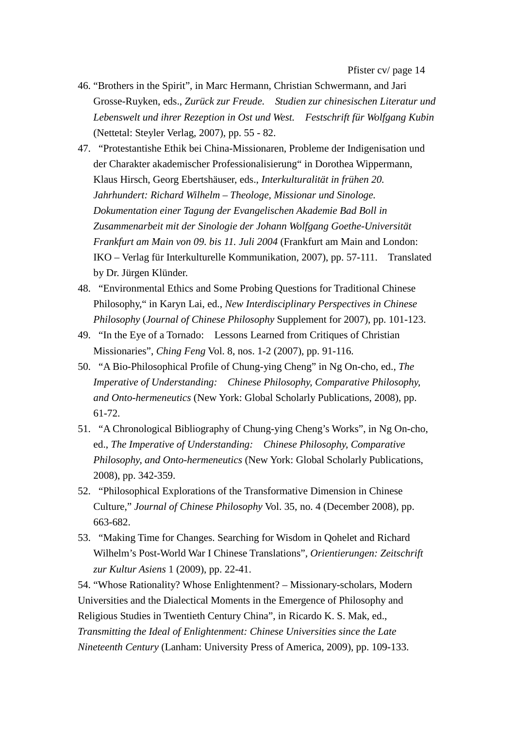Pfister cv/ page 14

- 46. "Brothers in the Spirit", in Marc Hermann, Christian Schwermann, and Jari Grosse-Ruyken, eds., *Zurück zur Freude. Studien zur chinesischen Literatur und Lebenswelt und ihrer Rezeption in Ost und West. Festschrift für Wolfgang Kubin* (Nettetal: Steyler Verlag, 2007), pp. 55 - 82.
- 47. "Protestantishe Ethik bei China-Missionaren, Probleme der Indigenisation und der Charakter akademischer Professionalisierung" in Dorothea Wippermann, Klaus Hirsch, Georg Ebertshäuser, eds., *Interkulturalität in frühen 20. Jahrhundert: Richard Wilhelm – Theologe, Missionar und Sinologe. Dokumentation einer Tagung der Evangelischen Akademie Bad Boll in Zusammenarbeit mit der Sinologie der Johann Wolfgang Goethe-Universität Frankfurt am Main von 09. bis 11. Juli 2004* (Frankfurt am Main and London: IKO – Verlag für Interkulturelle Kommunikation, 2007), pp. 57-111. Translated by Dr. Jürgen Klünder.
- 48. "Environmental Ethics and Some Probing Questions for Traditional Chinese Philosophy," in Karyn Lai, ed., *New Interdisciplinary Perspectives in Chinese Philosophy* (*Journal of Chinese Philosophy* Supplement for 2007), pp. 101-123.
- 49. "In the Eye of a Tornado: Lessons Learned from Critiques of Christian Missionaries", *Ching Feng* Vol. 8, nos. 1-2 (2007), pp. 91-116.
- 50. "A Bio-Philosophical Profile of Chung-ying Cheng" in Ng On-cho, ed., *The Imperative of Understanding: Chinese Philosophy, Comparative Philosophy, and Onto-hermeneutics* (New York: Global Scholarly Publications, 2008), pp. 61-72.
- 51. "A Chronological Bibliography of Chung-ying Cheng's Works", in Ng On-cho, ed., *The Imperative of Understanding: Chinese Philosophy, Comparative Philosophy, and Onto-hermeneutics* (New York: Global Scholarly Publications, 2008), pp. 342-359.
- 52. "Philosophical Explorations of the Transformative Dimension in Chinese Culture," *Journal of Chinese Philosophy* Vol. 35, no. 4 (December 2008), pp. 663-682.
- 53. "Making Time for Changes. Searching for Wisdom in Qohelet and Richard Wilhelm's Post-World War I Chinese Translations", *Orientierungen: Zeitschrift zur Kultur Asiens* 1 (2009), pp. 22-41.

54. "Whose Rationality? Whose Enlightenment? – Missionary-scholars, Modern Universities and the Dialectical Moments in the Emergence of Philosophy and Religious Studies in Twentieth Century China", in Ricardo K. S. Mak, ed., *Transmitting the Ideal of Enlightenment: Chinese Universities since the Late Nineteenth Century* (Lanham: University Press of America, 2009), pp. 109-133.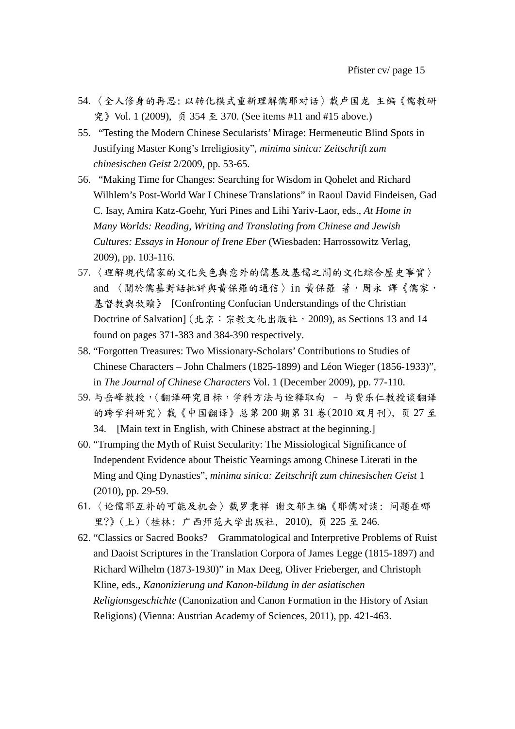- 54. 〈全人修身的再思: 以转化模式重新理解儒耶对话〉载卢国龙 主编《儒教研 究》Vol. 1 (2009), 页 354 至 370. (See items #11 and #15 above.)
- 55. "Testing the Modern Chinese Secularists' Mirage: Hermeneutic Blind Spots in Justifying Master Kong's Irreligiosity", *minima sinica: Zeitschrift zum chinesischen Geist* 2/2009, pp. 53-65.
- 56. "Making Time for Changes: Searching for Wisdom in Qohelet and Richard Wilhlem's Post-World War I Chinese Translations" in Raoul David Findeisen, Gad C. Isay, Amira Katz-Goehr, Yuri Pines and Lihi Yariv-Laor, eds., *At Home in Many Worlds: Reading, Writing and Translating from Chinese and Jewish Cultures: Essays in Honour of Irene Eber* (Wiesbaden: Harrossowitz Verlag, 2009), pp. 103-116.
- 57. 〈理解現代儒家的文化失色與意外的儒基及基儒之間的文化綜合歷史事實〉 and 〈關於儒基對話批評與黃保羅的通信〉in 黃保羅 著,周永 譯《儒家, 基督教與救贖》 [Confronting Confucian Understandings of the Christian Doctrine of Salvation] (北京:宗教文化出版社, 2009), as Sections 13 and 14 found on pages 371-383 and 384-390 respectively.
- 58. "Forgotten Treasures: Two Missionary-Scholars' Contributions to Studies of Chinese Characters – John Chalmers (1825-1899) and Léon Wieger (1856-1933)", in *The Journal of Chinese Characters* Vol. 1 (December 2009), pp. 77-110.
- 59. 与岳峰教授,〈翻译研究目标,学科方法与诠释取向 与费乐仁教授谈翻译 的跨学科研究〉载《中国翻译》总第 200 期第 31 卷(2010 双月刊), 页 27 至 34. [Main text in English, with Chinese abstract at the beginning.]
- 60. "Trumping the Myth of Ruist Secularity: The Missiological Significance of Independent Evidence about Theistic Yearnings among Chinese Literati in the Ming and Qing Dynasties", *minima sinica: Zeitschrift zum chinesischen Geist* 1 (2010), pp. 29-59.
- 61. 〈论儒耶互补的可能及机会〉载罗秉祥 谢文郁主编《耶儒对谈: 问题在哪 里?》(上) (桂林: 广西师范大学出版社, 2010), 页 225 至 246.
- 62. "Classics or Sacred Books? Grammatological and Interpretive Problems of Ruist and Daoist Scriptures in the Translation Corpora of James Legge (1815-1897) and Richard Wilhelm (1873-1930)" in Max Deeg, Oliver Frieberger, and Christoph Kline, eds., *Kanonizierung und Kanon-bildung in der asiatischen Religionsgeschichte* (Canonization and Canon Formation in the History of Asian Religions) (Vienna: Austrian Academy of Sciences, 2011), pp. 421-463.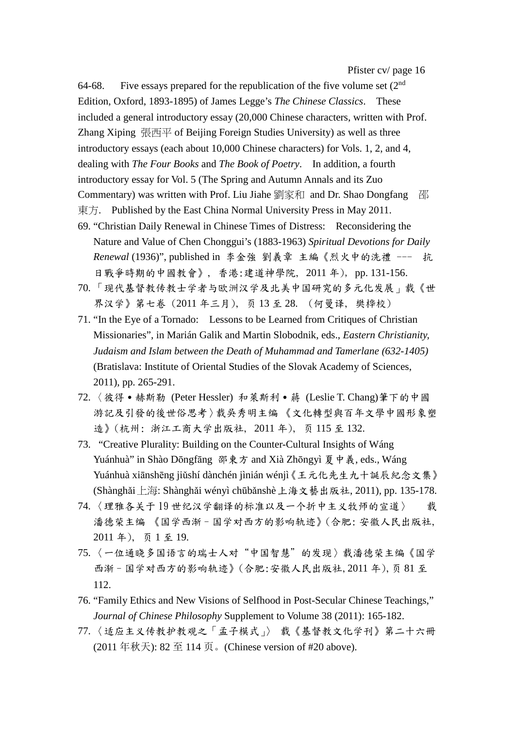64-68. Five essays prepared for the republication of the five volume set  $(2<sup>nd</sup>$ Edition, Oxford, 1893-1895) of James Legge's *The Chinese Classics*. These included a general introductory essay (20,000 Chinese characters, written with Prof. Zhang Xiping 張西平 of Beijing Foreign Studies University) as well as three introductory essays (each about 10,000 Chinese characters) for Vols. 1, 2, and 4, dealing with *The Four Books* and *The Book of Poetry*. In addition, a fourth introductory essay for Vol. 5 (The Spring and Autumn Annals and its Zuo Commentary) was written with Prof. Liu Jiahe 劉家和 and Dr. Shao Dongfang 邵 東方. Published by the East China Normal University Press in May 2011.

- 69. "Christian Daily Renewal in Chinese Times of Distress: Reconsidering the Nature and Value of Chen Chonggui's (1883-1963) *Spiritual Devotions for Daily Renewal* (1936)", published in 李金強 劉義章 主編《烈火中的洗禮 --- 抗 日戰爭時期的中國教會》, 香港:建道神學院, 2011 年), pp. 131-156.
- 70. 「现代基督教传教士学者与欧洲汉学及北美中国研究的多元化发展」载《世 界汉学》第七卷 (2011 年三月), 页 13 至 28. (何曼译, 樊桦校)
- 71. "In the Eye of a Tornado: Lessons to be Learned from Critiques of Christian Missionaries", in Marián Galik and Martin Slobodnik, eds., *Eastern Christianity, Judaism and Islam between the Death of Muhammad and Tamerlane (632-1405)* (Bratislava: Institute of Oriental Studies of the Slovak Academy of Sciences, 2011), pp. 265-291.
- 72. 〈彼得·赫斯勒 (Peter Hessler) 和萊斯利·蔣 (Leslie T. Chang)筆下的中國 游記及引發的後世俗思考〉载吳秀明主编 《文化轉型與百年文學中國形象塑 造》(杭州: 浙江工商大学出版社, 2011 年), 页 115 至 132.
- 73. "Creative Plurality: Building on the Counter-Cultural Insights of Wáng Yuánhuà" in Shào Dōngfāng 邵東方 and Xià Zhōngyì 夏中義, eds., Wáng Yuánhuà xiānshēng jiǔshí dànchén jìnián wénjì《王元化先生九十誕辰紀念文集》 (Shànghǎi上海: Shànghǎi wényì chūbǎnshè上海文藝出版社, 2011), pp. 135-178.
- 74. 〈理雅各关于 19 世纪汉学翻译的标准以及一个折中主义牧师的宣道〉 载 潘德荣主编 《国学西渐–国学对西方的影响轨迹》(合肥: 安徽人民出版社, 2011 年), 页 1 至 19.
- 75. 〈一位通晓多国语言的瑞士人对"中国智慧"的发现〉载潘德荣主编《国学 西渐–国学对西方的影响轨迹》(合肥:安徽人民出版社,2011 年),页 81 至 112.
- 76. "Family Ethics and New Visions of Selfhood in Post-Secular Chinese Teachings," *Journal of Chinese Philosophy* Supplement to Volume 38 (2011): 165-182.
- 77. 〈适应主义传教护教观之「孟子模式」〉 载《基督教文化学刊》第二十六冊 (2011 年秋天): 82 至 114 页。(Chinese version of #20 above).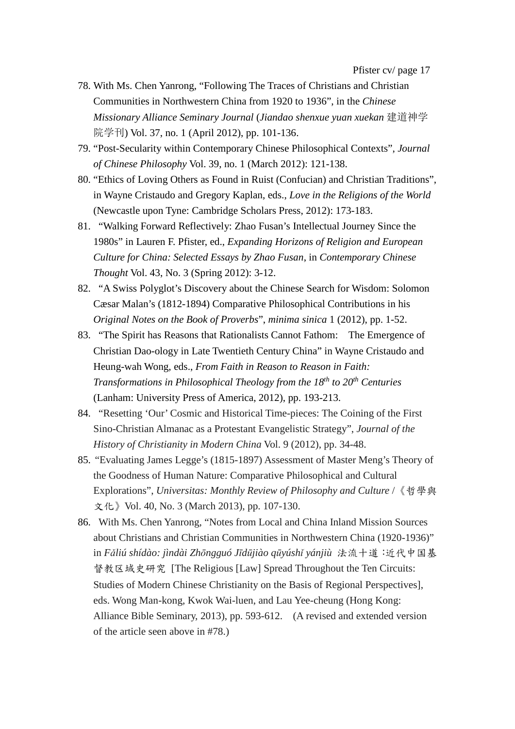- 78. With Ms. Chen Yanrong, "Following The Traces of Christians and Christian Communities in Northwestern China from 1920 to 1936", in the *Chinese Missionary Alliance Seminary Journal* (*Jiandao shenxue yuan xuekan* 建道神学 院学刊) Vol. 37, no. 1 (April 2012), pp. 101-136.
- 79. "Post-Secularity within Contemporary Chinese Philosophical Contexts", *Journal of Chinese Philosophy* Vol. 39, no. 1 (March 2012): 121-138.
- 80. "Ethics of Loving Others as Found in Ruist (Confucian) and Christian Traditions", in Wayne Cristaudo and Gregory Kaplan, eds., *Love in the Religions of the World* (Newcastle upon Tyne: Cambridge Scholars Press, 2012): 173-183.
- 81. "Walking Forward Reflectively: Zhao Fusan's Intellectual Journey Since the 1980s" in Lauren F. Pfister, ed., *Expanding Horizons of Religion and European Culture for China: Selected Essays by Zhao Fusan*, in *Contemporary Chinese Thought* Vol. 43, No. 3 (Spring 2012): 3-12.
- 82. "A Swiss Polyglot's Discovery about the Chinese Search for Wisdom: Solomon Cæsar Malan's (1812-1894) Comparative Philosophical Contributions in his *Original Notes on the Book of Proverbs*", *minima sinica* 1 (2012), pp. 1-52.
- 83. "The Spirit has Reasons that Rationalists Cannot Fathom: The Emergence of Christian Dao-ology in Late Twentieth Century China" in Wayne Cristaudo and Heung-wah Wong, eds., *From Faith in Reason to Reason in Faith: Transformations in Philosophical Theology from the 18th to 20th Centuries* (Lanham: University Press of America, 2012), pp. 193-213.
- 84. "Resetting 'Our' Cosmic and Historical Time-pieces: The Coining of the First Sino-Christian Almanac as a Protestant Evangelistic Strategy", *Journal of the History of Christianity in Modern China* Vol. 9 (2012), pp. 34-48.
- 85. "Evaluating James Legge's (1815-1897) Assessment of Master Meng's Theory of the Goodness of Human Nature: Comparative Philosophical and Cultural Explorations", *Universitas: Monthly Review of Philosophy and Culture* / 《哲學與 文化》Vol. 40, No. 3 (March 2013), pp. 107-130.
- 86. With Ms. Chen Yanrong, "Notes from Local and China Inland Mission Sources about Christians and Christian Communities in Northwestern China (1920-1936)" in *Fǎliú shídào: jìndài Zhōngguó Jīdūjiào qūyúshǐ yánjiù* 法流十道:近代中国基 督教区域史研究 [The Religious [Law] Spread Throughout the Ten Circuits: Studies of Modern Chinese Christianity on the Basis of Regional Perspectives], eds. Wong Man-kong, Kwok Wai-luen, and Lau Yee-cheung (Hong Kong: Alliance Bible Seminary, 2013), pp. 593-612. (A revised and extended version of the article seen above in #78.)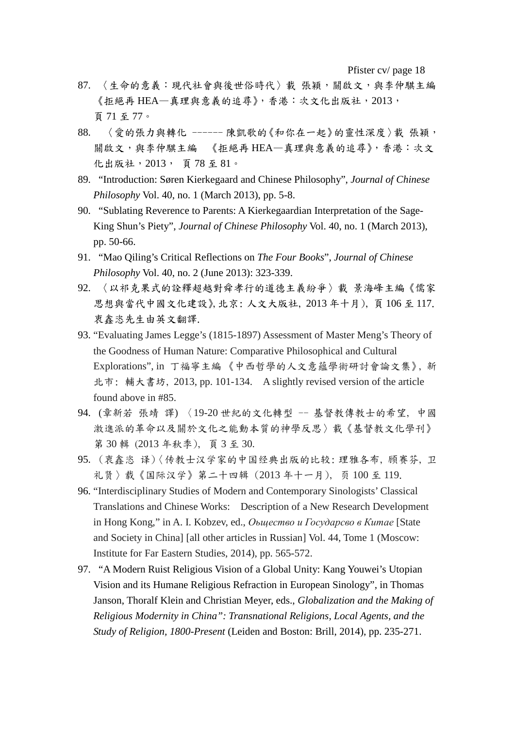Pfister cv/ page 18

- 87. 〈生命的意義:現代社會與後世俗時代〉載 張穎,關啟文,與李仲騏主編 《拒絕再 HEA-真理與意義的追尋》,香港:次文化出版社,2013, 頁 71 至 77。
- 88. 〈愛的張力與轉化 ------ 陳凱歌的《和你在一起》的靈性深度〉載 張穎, 關啟文,與李仲騏主編 《拒絕再 HEA—真理與意義的追尋》,香港:次文 化出版社,2013, 頁 78 至 81。
- 89. "Introduction: Søren Kierkegaard and Chinese Philosophy", *Journal of Chinese Philosophy* Vol. 40, no. 1 (March 2013), pp. 5-8.
- 90. "Sublating Reverence to Parents: A Kierkegaardian Interpretation of the Sage-King Shun's Piety", *Journal of Chinese Philosophy* Vol. 40, no. 1 (March 2013), pp. 50-66.
- 91. "Mao Qiling's Critical Reflections on *The Four Books*", *Journal of Chinese Philosophy* Vol. 40, no. 2 (June 2013): 323-339.
- 92. 〈以祁克果式的詮釋超越對舜孝行的道德主義紛爭〉載 景海峰主編《儒家 思想與當代中國文化建設》,北京: 人文大版社, 2013 年十月), 頁 106 至 117. 衷鑫恣先生由英文翻譯.
- 93. "Evaluating James Legge's (1815-1897) Assessment of Master Meng's Theory of the Goodness of Human Nature: Comparative Philosophical and Cultural Explorations", in 丁福寧主編 《中西哲學的人文意蘊學術研討會論文集》, 新 北市: 輔大書坊, 2013, pp. 101-134. A slightly revised version of the article found above in #85.
- 94. (章新若 張靖 譯) 〈19-20 世紀的文化轉型 -- 基督教傳教士的希望, 中國 激進派的革命以及關於文化之能動本質的神學反思〉載《基督教文化學刊》 第 30 輯 (2013 年秋季), 頁 3 至 30.
- 95. (衷鑫恣 译) 〈传教士汉学家的中国经典出版的比较: 理雅各布, 顾赛芬, 卫 礼贤〉载《国际汉学》第二十四辑 (2013 年十一月), 页 100 至 119.
- 96. "Interdisciplinary Studies of Modern and Contemporary Sinologists' Classical Translations and Chinese Works: Description of a New Research Development in Hong Kong," in A. I. Kobzev, ed., *Оьщество и Государсво в Китае* [State and Society in China] [all other articles in Russian] Vol. 44, Tome 1 (Moscow: Institute for Far Eastern Studies, 2014), pp. 565-572.
- 97. "A Modern Ruist Religious Vision of a Global Unity: Kang Youwei's Utopian Vision and its Humane Religious Refraction in European Sinology", in Thomas Janson, Thoralf Klein and Christian Meyer, eds., *Globalization and the Making of Religious Modernity in China": Transnational Religions, Local Agents, and the Study of Religion, 1800-Present* (Leiden and Boston: Brill, 2014), pp. 235-271.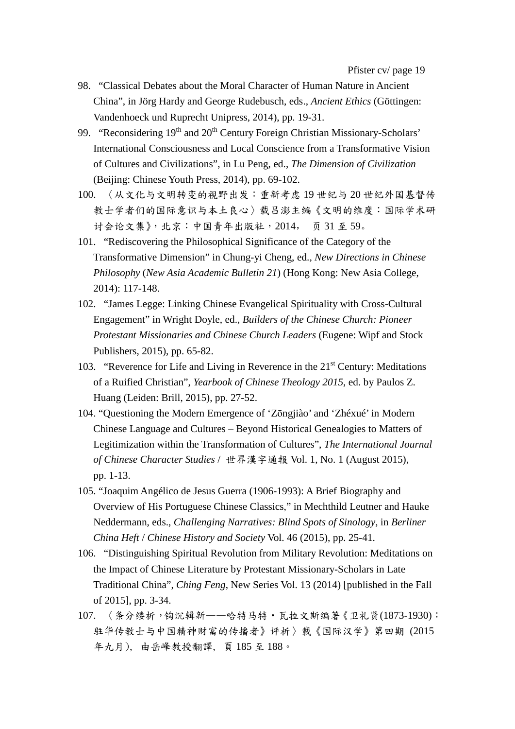- 98. "Classical Debates about the Moral Character of Human Nature in Ancient China", in Jörg Hardy and George Rudebusch, eds., *Ancient Ethics* (Göttingen: Vandenhoeck und Ruprecht Unipress, 2014), pp. 19-31.
- 99. "Reconsidering 19<sup>th</sup> and 20<sup>th</sup> Century Foreign Christian Missionary-Scholars' International Consciousness and Local Conscience from a Transformative Vision of Cultures and Civilizations", in Lu Peng, ed., *The Dimension of Civilization* (Beijing: Chinese Youth Press, 2014), pp. 69-102.
- 100. 〈从文化与文明转变的视野出发:重新考虑 19 世纪与 20 世纪外国基督传 教士学者们的国际意识与本土良心〉载吕澎主编《文明的维度:国际学术研 讨会论文集》,北京:中国青年出版社,2014, 页 31 至 59。
- 101. "Rediscovering the Philosophical Significance of the Category of the Transformative Dimension" in Chung-yi Cheng, ed., *New Directions in Chinese Philosophy* (*New Asia Academic Bulletin 21*) (Hong Kong: New Asia College, 2014): 117-148.
- 102. "James Legge: Linking Chinese Evangelical Spirituality with Cross-Cultural Engagement" in Wright Doyle, ed., *Builders of the Chinese Church: Pioneer Protestant Missionaries and Chinese Church Leaders* (Eugene: Wipf and Stock Publishers, 2015), pp. 65-82.
- 103. "Reverence for Life and Living in Reverence in the 21<sup>st</sup> Century: Meditations of a Ruified Christian", *Yearbook of Chinese Theology 2015*, ed. by Paulos Z. Huang (Leiden: Brill, 2015), pp. 27-52.
- 104. "Questioning the Modern Emergence of 'Zōngjiào' and 'Zhéxué' in Modern Chinese Language and Cultures – Beyond Historical Genealogies to Matters of Legitimization within the Transformation of Cultures", *The International Journal of Chinese Character Studies* / 世界漢字通報 Vol. 1, No. 1 (August 2015), pp. 1-13.
- 105. "Joaquim Angélico de Jesus Guerra (1906-1993): A Brief Biography and Overview of His Portuguese Chinese Classics," in Mechthild Leutner and Hauke Neddermann, eds., *Challenging Narratives: Blind Spots of Sinology*, in *Berliner China Heft* / *Chinese History and Society* Vol. 46 (2015), pp. 25-41.
- 106. "Distinguishing Spiritual Revolution from Military Revolution: Meditations on the Impact of Chinese Literature by Protestant Missionary-Scholars in Late Traditional China", *Ching Feng*, New Series Vol. 13 (2014) [published in the Fall of 2015], pp. 3-34.
- 107. 〈条分缕析,钩沉辑新——哈特马特·瓦拉文斯编著《卫礼贤(1873-1930): 驻华传教士与中国精神财富的传播者》评析〉載《国际汉学》第四期 (2015 年九月), 由岳峰教授翻譯, 頁 185 至 188。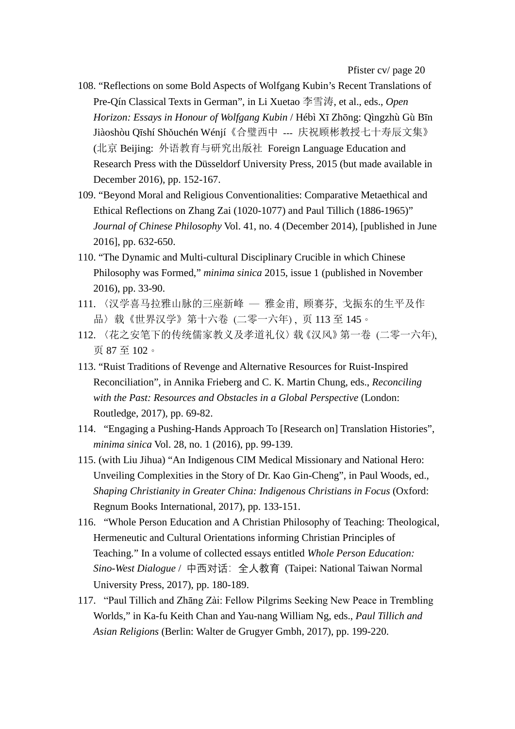- 108. "Reflections on some Bold Aspects of Wolfgang Kubin's Recent Translations of Pre-Qín Classical Texts in German", in Li Xuetao 李雪涛, et al., eds., *Open Horizon: Essays in Honour of Wolfgang Kubin* / Hébì Xī Zhōng: Qìngzhù Gù Bīn Jiàoshòu Qīshí Shǒuchén Wénjí《合璧西中 --- 庆祝顾彬教授七十寿辰文集》 (北京 Beijing: 外语教育与研究出版社 Foreign Language Education and Research Press with the Düsseldorf University Press, 2015 (but made available in December 2016), pp. 152-167.
- 109. "Beyond Moral and Religious Conventionalities: Comparative Metaethical and Ethical Reflections on Zhang Zai (1020-1077) and Paul Tillich (1886-1965)" *Journal of Chinese Philosophy* Vol. 41, no. 4 (December 2014), [published in June 2016], pp. 632-650.
- 110. "The Dynamic and Multi-cultural Disciplinary Crucible in which Chinese Philosophy was Formed," *minima sinica* 2015, issue 1 (published in November 2016), pp. 33-90.
- 111. 〈汉学喜马拉雅山脉的三座新峰 ― 雅金甫, 顾赛芬, 戈振东的生平及作 品〉载《世界汉学》第十六卷 (二零一六年) , 页 113 至 145。
- 112. 〈花之安笔下的传统儒家教义及孝道礼仪〉载《汉风》第一卷 (二零一六年), 页 87 至 102。
- 113. "Ruist Traditions of Revenge and Alternative Resources for Ruist-Inspired Reconciliation", in Annika Frieberg and C. K. Martin Chung, eds., *Reconciling with the Past: Resources and Obstacles in a Global Perspective* (London: Routledge, 2017), pp. 69-82.
- 114. "Engaging a Pushing-Hands Approach To [Research on] Translation Histories", *minima sinica* Vol. 28, no. 1 (2016), pp. 99-139.
- 115. (with Liu Jihua) "An Indigenous CIM Medical Missionary and National Hero: Unveiling Complexities in the Story of Dr. Kao Gin-Cheng", in Paul Woods, ed., *Shaping Christianity in Greater China: Indigenous Christians in Focus* (Oxford: Regnum Books International, 2017), pp. 133-151.
- 116. "Whole Person Education and A Christian Philosophy of Teaching: Theological, Hermeneutic and Cultural Orientations informing Christian Principles of Teaching." In a volume of collected essays entitled *Whole Person Education: Sino-West Dialogue* / 中西对话:全人教育 (Taipei: National Taiwan Normal University Press, 2017), pp. 180-189.
- 117. "Paul Tillich and Zhāng Zài: Fellow Pilgrims Seeking New Peace in Trembling Worlds," in Ka-fu Keith Chan and Yau-nang William Ng, eds., *Paul Tillich and Asian Religions* (Berlin: Walter de Grugyer Gmbh, 2017), pp. 199-220.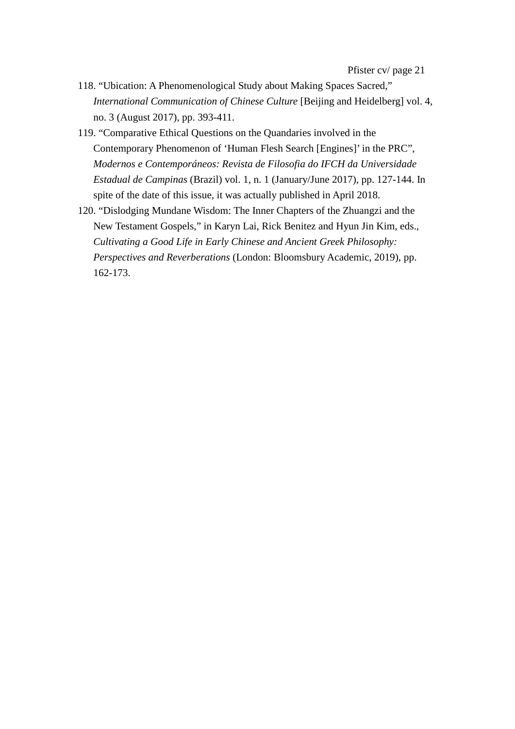- 118. "Ubication: A Phenomenological Study about Making Spaces Sacred," *International Communication of Chinese Culture* [Beijing and Heidelberg] vol. 4, no. 3 (August 2017), pp. 393-411.
- 119. "Comparative Ethical Questions on the Quandaries involved in the Contemporary Phenomenon of 'Human Flesh Search [Engines]' in the PRC", *Modernos e Contemporáneos: Revista de Filosofia do IFCH da Universidade Estadual de Campinas* (Brazil) vol. 1, n. 1 (January/June 2017), pp. 127-144. In spite of the date of this issue, it was actually published in April 2018.
- 120. "Dislodging Mundane Wisdom: The Inner Chapters of the Zhuangzi and the New Testament Gospels," in Karyn Lai, Rick Benitez and Hyun Jin Kim, eds., *Cultivating a Good Life in Early Chinese and Ancient Greek Philosophy: Perspectives and Reverberations* (London: Bloomsbury Academic, 2019), pp. 162-173.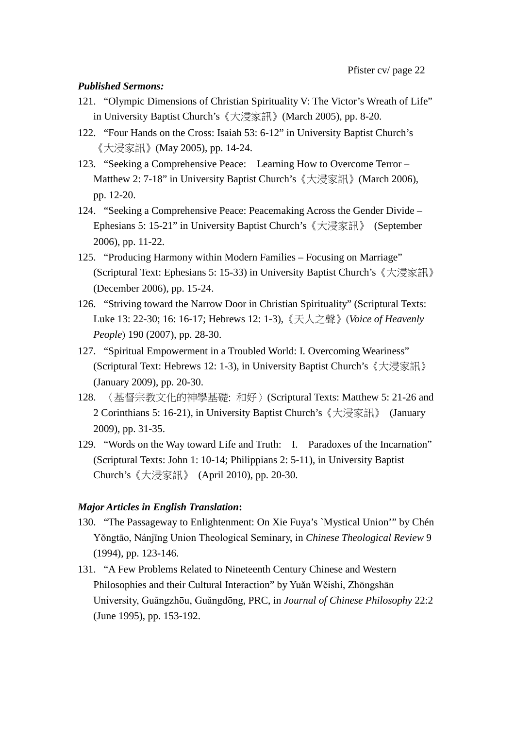### *Published Sermons:*

- 121. "Olympic Dimensions of Christian Spirituality V: The Victor's Wreath of Life" in University Baptist Church's《大浸家訊》(March 2005), pp. 8-20.
- 122. "Four Hands on the Cross: Isaiah 53: 6-12" in University Baptist Church's 《大浸家訊》(May 2005), pp. 14-24.
- 123. "Seeking a Comprehensive Peace: Learning How to Overcome Terror Matthew 2: 7-18" in University Baptist Church's 《大浸家訊》(March 2006), pp. 12-20.
- 124. "Seeking a Comprehensive Peace: Peacemaking Across the Gender Divide Ephesians 5: 15-21" in University Baptist Church's《大浸家訊》 (September 2006), pp. 11-22.
- 125. "Producing Harmony within Modern Families Focusing on Marriage" (Scriptural Text: Ephesians 5: 15-33) in University Baptist Church's《大浸家訊》 (December 2006), pp. 15-24.
- 126. "Striving toward the Narrow Door in Christian Spirituality" (Scriptural Texts: Luke 13: 22-30; 16: 16-17; Hebrews 12: 1-3),《天人之聲》(*Voice of Heavenly People*) 190 (2007), pp. 28-30.
- 127. "Spiritual Empowerment in a Troubled World: I. Overcoming Weariness" (Scriptural Text: Hebrews 12: 1-3), in University Baptist Church's《大浸家訊》 (January 2009), pp. 20-30.
- 128. 〈基督宗教文化的神學基礎: 和好〉(Scriptural Texts: Matthew 5: 21-26 and 2 Corinthians 5: 16-21), in University Baptist Church's《大浸家訊》 (January 2009), pp. 31-35.
- 129. "Words on the Way toward Life and Truth: I. Paradoxes of the Incarnation" (Scriptural Texts: John 1: 10-14; Philippians 2: 5-11), in University Baptist Church's《大浸家訊》 (April 2010), pp. 20-30.

### *Major Articles in English Translation***:**

- 130. "The Passageway to Enlightenment: On Xie Fuya's `Mystical Union'" by Chén Yǒngtāo, Nánjīng Union Theological Seminary, in *Chinese Theological Review* 9 (1994), pp. 123-146.
- 131. "A Few Problems Related to Nineteenth Century Chinese and Western Philosophies and their Cultural Interaction" by Yuǎn Wěishí, Zhōngshān University, Guǎngzhōu, Guǎngdōng, PRC, in *Journal of Chinese Philosophy* 22:2 (June 1995), pp. 153-192.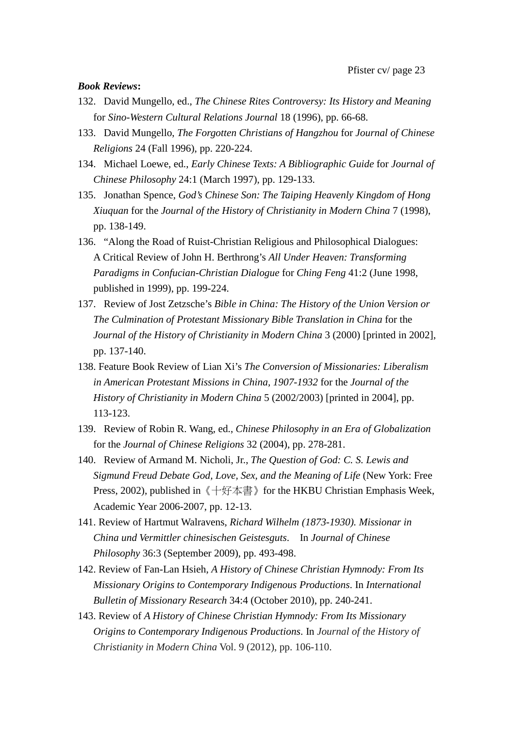### *Book Reviews***:**

- 132. David Mungello, ed., *The Chinese Rites Controversy: Its History and Meaning* for *Sino-Western Cultural Relations Journal* 18 (1996), pp. 66-68.
- 133. David Mungello, *The Forgotten Christians of Hangzhou* for *Journal of Chinese Religions* 24 (Fall 1996), pp. 220-224.
- 134. Michael Loewe, ed., *Early Chinese Texts: A Bibliographic Guide* for *Journal of Chinese Philosophy* 24:1 (March 1997), pp. 129-133.
- 135. Jonathan Spence, *God's Chinese Son: The Taiping Heavenly Kingdom of Hong Xiuquan* for the *Journal of the History of Christianity in Modern China* 7 (1998), pp. 138-149.
- 136. "Along the Road of Ruist-Christian Religious and Philosophical Dialogues: A Critical Review of John H. Berthrong's *All Under Heaven: Transforming Paradigms in Confucian-Christian Dialogue* for *Ching Feng* 41:2 (June 1998, published in 1999), pp. 199-224.
- 137. Review of Jost Zetzsche's *Bible in China: The History of the Union Version or The Culmination of Protestant Missionary Bible Translation in China* for the *Journal of the History of Christianity in Modern China* 3 (2000) [printed in 2002], pp. 137-140.
- 138. Feature Book Review of Lian Xi's *The Conversion of Missionaries: Liberalism in American Protestant Missions in China, 1907-1932* for the *Journal of the History of Christianity in Modern China* 5 (2002/2003) [printed in 2004], pp. 113-123.
- 139. Review of Robin R. Wang, ed., *Chinese Philosophy in an Era of Globalization* for the *Journal of Chinese Religions* 32 (2004), pp. 278-281.
- 140. Review of Armand M. Nicholi, Jr., *The Question of God: C. S. Lewis and Sigmund Freud Debate God, Love, Sex, and the Meaning of Life* (New York: Free Press, 2002), published in《十好本書》for the HKBU Christian Emphasis Week, Academic Year 2006-2007, pp. 12-13.
- 141. Review of Hartmut Walravens, *Richard Wilhelm (1873-1930). Missionar in China und Vermittler chinesischen Geistesguts*. In *Journal of Chinese Philosophy* 36:3 (September 2009), pp. 493-498.
- 142. Review of Fan-Lan Hsieh, *A History of Chinese Christian Hymnody: From Its Missionary Origins to Contemporary Indigenous Productions*. In *International Bulletin of Missionary Research* 34:4 (October 2010), pp. 240-241.
- 143. Review of *A History of Chinese Christian Hymnody: From Its Missionary Origins to Contemporary Indigenous Productions*. In *Journal of the History of Christianity in Modern China* Vol. 9 (2012), pp. 106-110.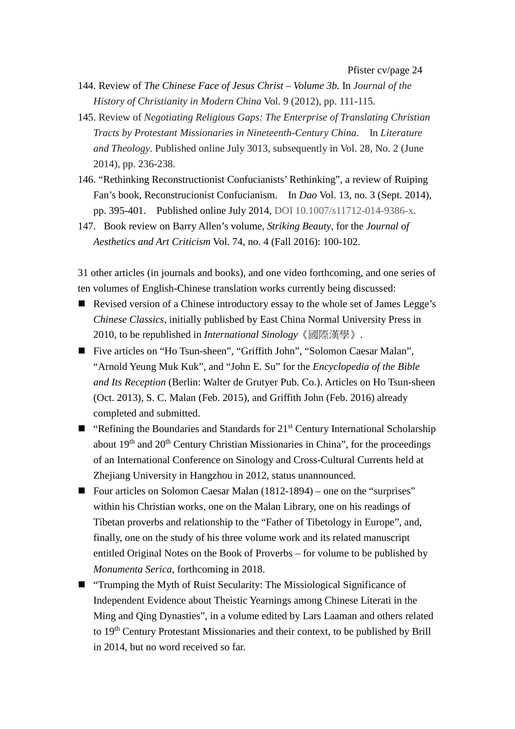- 144. Review of *The Chinese Face of Jesus Christ – Volume 3b*. In *Journal of the History of Christianity in Modern China* Vol. 9 (2012), pp. 111-115.
- 145. Review of *Negotiating Religious Gaps: The Enterprise of Translating Christian Tracts by Protestant Missionaries in Nineteenth-Century China*. In *Literature and Theology*. Published online July 3013, subsequently in Vol. 28, No. 2 (June 2014), pp. 236-238.
- 146. "Rethinking Reconstructionist Confucianists' Rethinking", a review of Ruiping Fan's book, Reconstrucionist Confucianism. In *Dao* Vol. 13, no. 3 (Sept. 2014), pp. 395-401. Published online July 2014, DOI 10.1007/s11712-014-9386-x.
- 147. Book review on Barry Allen's volume, *Striking Beauty*, for the *Journal of Aesthetics and Art Criticism* Vol. 74, no. 4 (Fall 2016): 100-102.

31 other articles (in journals and books), and one video forthcoming, and one series of ten volumes of English-Chinese translation works currently being discussed:

- Revised version of a Chinese introductory essay to the whole set of James Legge's *Chinese Classics*, initially published by East China Normal University Press in 2010, to be republished in *International Sinology*《國際漢學》.
- Five articles on "Ho Tsun-sheen", "Griffith John", "Solomon Caesar Malan", "Arnold Yeung Muk Kuk", and "John E. Su" for the *Encyclopedia of the Bible and Its Reception* (Berlin: Walter de Grutyer Pub. Co.). Articles on Ho Tsun-sheen (Oct. 2013), S. C. Malan (Feb. 2015), and Griffith John (Feb. 2016) already completed and submitted.
- **"** "Refining the Boundaries and Standards for  $21<sup>st</sup>$  Century International Scholarship about 19<sup>th</sup> and 20<sup>th</sup> Century Christian Missionaries in China", for the proceedings of an International Conference on Sinology and Cross-Cultural Currents held at Zhejiang University in Hangzhou in 2012, status unannounced.
- Four articles on Solomon Caesar Malan (1812-1894) one on the "surprises" within his Christian works, one on the Malan Library, one on his readings of Tibetan proverbs and relationship to the "Father of Tibetology in Europe", and, finally, one on the study of his three volume work and its related manuscript entitled Original Notes on the Book of Proverbs – for volume to be published by *Monumenta Serica*, forthcoming in 2018.
- "Trumping the Myth of Ruist Secularity: The Missiological Significance of Independent Evidence about Theistic Yearnings among Chinese Literati in the Ming and Qing Dynasties", in a volume edited by Lars Laaman and others related to 19th Century Protestant Missionaries and their context, to be published by Brill in 2014, but no word received so far.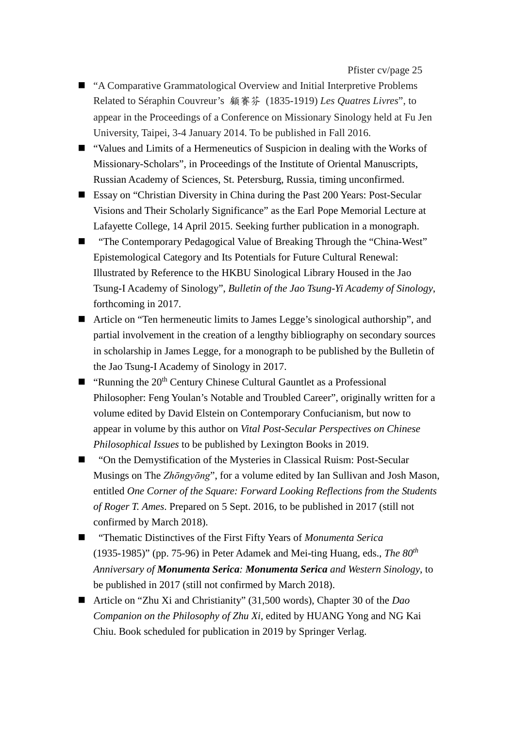- "A Comparative Grammatological Overview and Initial Interpretive Problems Related to Séraphin Couvreur's 顧賽芬 (1835-1919) *Les Quatres Livres*", to appear in the Proceedings of a Conference on Missionary Sinology held at Fu Jen University, Taipei, 3-4 January 2014. To be published in Fall 2016.
- "Values and Limits of a Hermeneutics of Suspicion in dealing with the Works of Missionary-Scholars", in Proceedings of the Institute of Oriental Manuscripts, Russian Academy of Sciences, St. Petersburg, Russia, timing unconfirmed.
- Essay on "Christian Diversity in China during the Past 200 Years: Post-Secular Visions and Their Scholarly Significance" as the Earl Pope Memorial Lecture at Lafayette College, 14 April 2015. Seeking further publication in a monograph.
- "The Contemporary Pedagogical Value of Breaking Through the "China-West" Epistemological Category and Its Potentials for Future Cultural Renewal: Illustrated by Reference to the HKBU Sinological Library Housed in the Jao Tsung-I Academy of Sinology", *Bulletin of the Jao Tsung-Yi Academy of Sinology*, forthcoming in 2017.
- Article on "Ten hermeneutic limits to James Legge's sinological authorship", and partial involvement in the creation of a lengthy bibliography on secondary sources in scholarship in James Legge, for a monograph to be published by the Bulletin of the Jao Tsung-I Academy of Sinology in 2017.
- $\blacksquare$  "Running the 20<sup>th</sup> Century Chinese Cultural Gauntlet as a Professional Philosopher: Feng Youlan's Notable and Troubled Career", originally written for a volume edited by David Elstein on Contemporary Confucianism, but now to appear in volume by this author on *Vital Post-Secular Perspectives on Chinese Philosophical Issues* to be published by Lexington Books in 2019.
- "On the Demystification of the Mysteries in Classical Ruism: Post-Secular Musings on The *Zhōngyōng*", for a volume edited by Ian Sullivan and Josh Mason, entitled *One Corner of the Square: Forward Looking Reflections from the Students of Roger T. Ames*. Prepared on 5 Sept. 2016, to be published in 2017 (still not confirmed by March 2018).
- "Thematic Distinctives of the First Fifty Years of *Monumenta Serica* (1935-1985)" (pp. 75-96) in Peter Adamek and Mei-ting Huang, eds., *The 80th Anniversary of Monumenta Serica: Monumenta Serica and Western Sinology*, to be published in 2017 (still not confirmed by March 2018).
- Article on "Zhu Xi and Christianity" (31,500 words), Chapter 30 of the *Dao Companion on the Philosophy of Zhu Xi*, edited by HUANG Yong and NG Kai Chiu. Book scheduled for publication in 2019 by Springer Verlag.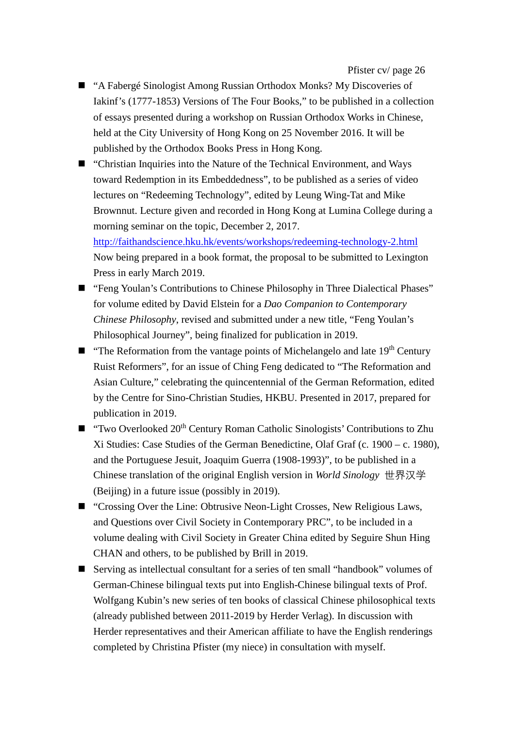- "A Fabergé Sinologist Among Russian Orthodox Monks? My Discoveries of Iakinf's (1777-1853) Versions of The Four Books," to be published in a collection of essays presented during a workshop on Russian Orthodox Works in Chinese, held at the City University of Hong Kong on 25 November 2016. It will be published by the Orthodox Books Press in Hong Kong.
- "Christian Inquiries into the Nature of the Technical Environment, and Ways toward Redemption in its Embeddedness", to be published as a series of video lectures on "Redeeming Technology", edited by Leung Wing-Tat and Mike Brownnut. Lecture given and recorded in Hong Kong at Lumina College during a morning seminar on the topic, December 2, 2017.

<http://faithandscience.hku.hk/events/workshops/redeeming-technology-2.html> Now being prepared in a book format, the proposal to be submitted to Lexington Press in early March 2019.

- "Feng Youlan's Contributions to Chinese Philosophy in Three Dialectical Phases" for volume edited by David Elstein for a *Dao Companion to Contemporary Chinese Philosophy*, revised and submitted under a new title, "Feng Youlan's Philosophical Journey", being finalized for publication in 2019.
- $\blacksquare$  "The Reformation from the vantage points of Michelangelo and late 19<sup>th</sup> Century Ruist Reformers", for an issue of Ching Feng dedicated to "The Reformation and Asian Culture," celebrating the quincentennial of the German Reformation, edited by the Centre for Sino-Christian Studies, HKBU. Presented in 2017, prepared for publication in 2019.
- "Two Overlooked  $20<sup>th</sup>$  Century Roman Catholic Sinologists' Contributions to Zhu Xi Studies: Case Studies of the German Benedictine, Olaf Graf (c. 1900 – c. 1980), and the Portuguese Jesuit, Joaquim Guerra (1908-1993)", to be published in a Chinese translation of the original English version in *World Sinology* 世界汉学 (Beijing) in a future issue (possibly in 2019).
- "Crossing Over the Line: Obtrusive Neon-Light Crosses, New Religious Laws, and Questions over Civil Society in Contemporary PRC", to be included in a volume dealing with Civil Society in Greater China edited by Seguire Shun Hing CHAN and others, to be published by Brill in 2019.
- Serving as intellectual consultant for a series of ten small "handbook" volumes of German-Chinese bilingual texts put into English-Chinese bilingual texts of Prof. Wolfgang Kubin's new series of ten books of classical Chinese philosophical texts (already published between 2011-2019 by Herder Verlag). In discussion with Herder representatives and their American affiliate to have the English renderings completed by Christina Pfister (my niece) in consultation with myself.